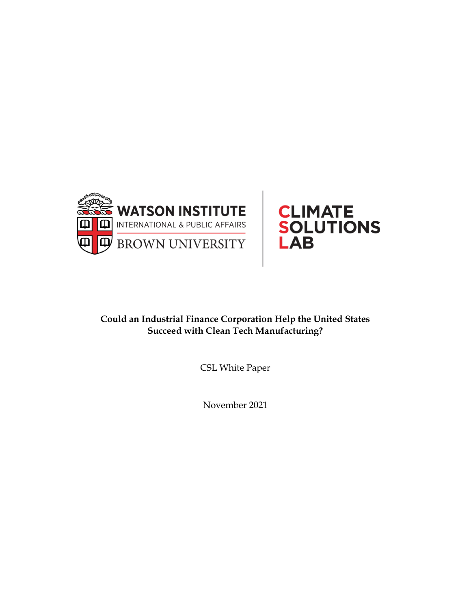



# **Could an Industrial Finance Corporation Help the United States Succeed with Clean Tech Manufacturing?**

CSL White Paper

November 2021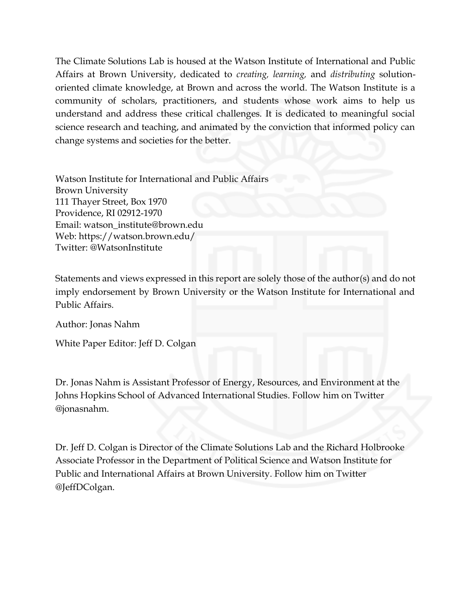The Climate Solutions Lab is housed at the Watson Institute of International and Public Affairs at Brown University, dedicated to *creating, learning,* and *distributing* solutionoriented climate knowledge, at Brown and across the world. The Watson Institute is a community of scholars, practitioners, and students whose work aims to help us understand and address these critical challenges. It is dedicated to meaningful social science research and teaching, and animated by the conviction that informed policy can change systems and societies for the better.

Watson Institute for International and Public Affairs Brown University 111 Thayer Street, Box 1970 Providence, RI 02912-1970 Email: watson\_institute@brown.edu Web: https://watson.brown.edu/ Twitter: @WatsonInstitute

Statements and views expressed in this report are solely those of the author(s) and do not imply endorsement by Brown University or the Watson Institute for International and Public Affairs.

Author: Jonas Nahm

White Paper Editor: Jeff D. Colgan

Dr. Jonas Nahm is Assistant Professor of Energy, Resources, and Environment at the Johns Hopkins School of Advanced International Studies. Follow him on Twitter @jonasnahm.

Dr. Jeff D. Colgan is Director of the Climate Solutions Lab and the Richard Holbrooke Associate Professor in the Department of Political Science and Watson Institute for Public and International Affairs at Brown University. Follow him on Twitter @JeffDColgan.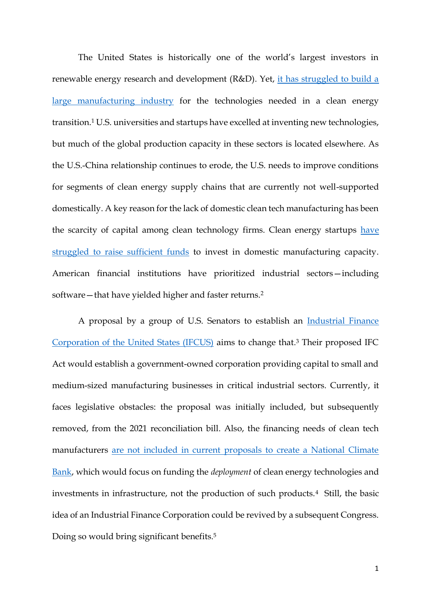The United States is historically one of the world's largest investors in renewable energy research and development (R&D). Yet, it has struggled to build a [large manufacturing industry](https://global.oup.com/academic/product/collaborative-advantage-9780197555378?lang=en&cc=us) for the technologies needed in a clean energy transition.<sup>1</sup> U.S. universities and startups have excelled at inventing new technologies, but much of the global production capacity in these sectors is located elsewhere. As the U.S.-China relationship continues to erode, the U.S. needs to improve conditions for segments of clean energy supply chains that are currently not well-supported domestically. A key reason for the lack of domestic clean tech manufacturing has been the scarcity of capital among clean technology firms. Clean energy startups have [struggled to raise sufficient funds](https://www.govinfo.gov/content/pkg/CHRG-113shrg87798/html/CHRG-113shrg87798.htm) to invest in domestic manufacturing capacity. American financial institutions have prioritized industrial sectors—including software—that have yielded higher and faster returns.<sup>2</sup>

A proposal by a group of U.S. Senators to establish an [Industrial Finance](https://www.coons.senate.gov/imo/media/doc/SUMMARY%20IFCUS%20117%20v.2.pdf)  [Corporation of the United States \(IFCUS\)](https://www.coons.senate.gov/imo/media/doc/SUMMARY%20IFCUS%20117%20v.2.pdf) aims to change that.<sup>3</sup> Their proposed IFC Act would establish a government-owned corporation providing capital to small and medium-sized manufacturing businesses in critical industrial sectors. Currently, it faces legislative obstacles: the proposal was initially included, but subsequently removed, from the 2021 reconciliation bill. Also, the financing needs of clean tech manufacturers [are not included in current proposals to create a National Climate](https://sites.tufts.edu/cierp/files/2021/09/CPL_Policy_Brief_US_Green_Bank-1.pdf)  [Bank,](https://sites.tufts.edu/cierp/files/2021/09/CPL_Policy_Brief_US_Green_Bank-1.pdf) which would focus on funding the *deployment* of clean energy technologies and investments in infrastructure, not the production of such products.<sup>4</sup> Still, the basic idea of an Industrial Finance Corporation could be revived by a subsequent Congress. Doing so would bring significant benefits.<sup>5</sup>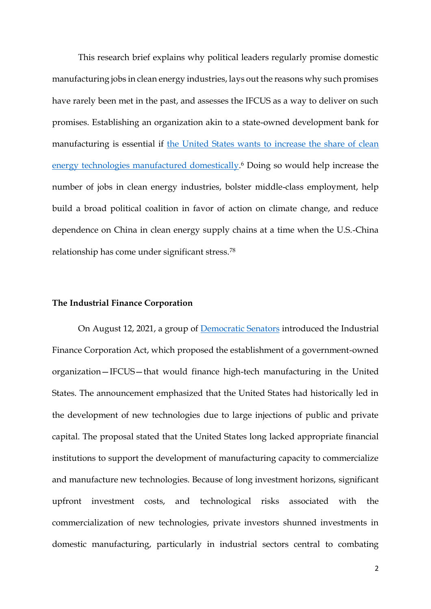This research brief explains why political leaders regularly promise domestic manufacturing jobs in clean energy industries, lays out the reasons why such promises have rarely been met in the past, and assesses the IFCUS as a way to deliver on such promises. Establishing an organization akin to a state-owned development bank for manufacturing is essential if [the United States wants to increase the share of clean](https://www.science.org/doi/full/10.1126/science.aaz1014)  [energy technologies manufactured domestically.](https://www.science.org/doi/full/10.1126/science.aaz1014)<sup>6</sup> Doing so would help increase the number of jobs in clean energy industries, bolster middle-class employment, help build a broad political coalition in favor of action on climate change, and reduce dependence on China in clean energy supply chains at a time when the U.S.-China relationship has come under significant stress.<sup>78</sup>

## **The Industrial Finance Corporation**

On August 12, 2021, a group of [Democratic Senators](https://www.coons.senate.gov/news/press-releases/sen-coons-colleagues-seek-to-create-new-domestic-manufacturing-investment-corporation) introduced the Industrial Finance Corporation Act, which proposed the establishment of a government-owned organization—IFCUS—that would finance high-tech manufacturing in the United States. The announcement emphasized that the United States had historically led in the development of new technologies due to large injections of public and private capital. The proposal stated that the United States long lacked appropriate financial institutions to support the development of manufacturing capacity to commercialize and manufacture new technologies. Because of long investment horizons, significant upfront investment costs, and technological risks associated with the commercialization of new technologies, private investors shunned investments in domestic manufacturing, particularly in industrial sectors central to combating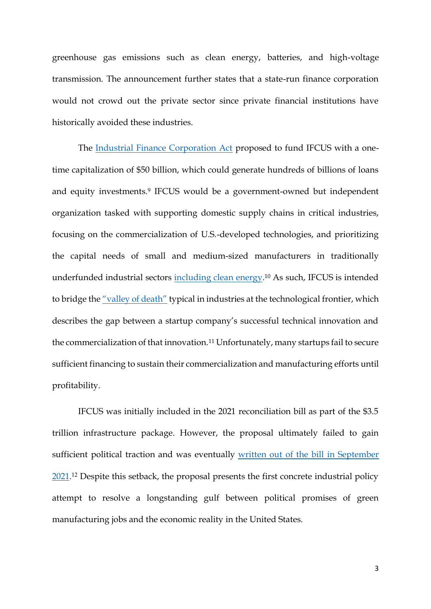greenhouse gas emissions such as clean energy, batteries, and high-voltage transmission. The announcement further states that a state-run finance corporation would not crowd out the private sector since private financial institutions have historically avoided these industries.

The [Industrial Finance Corporation Act](https://www.coons.senate.gov/download/text-ifcus-117) proposed to fund IFCUS with a onetime capitalization of \$50 billion, which could generate hundreds of billions of loans and equity investments.<sup>9</sup> IFCUS would be a government-owned but independent organization tasked with supporting domestic supply chains in critical industries, focusing on the commercialization of U.S.-developed technologies, and prioritizing the capital needs of small and medium-sized manufacturers in traditionally underfunded industrial sectors [including clean energy.](https://doi.org/10.3390/su122410440)<sup>10</sup> As such, IFCUS is intended to bridge the ["valley of death"](https://www.nature.com/articles/s41560-020-00703-7) typical in industries at the technological frontier, which describes the gap between a startup company's successful technical innovation and the commercialization of that innovation.<sup>11</sup> Unfortunately, many startups fail to secure sufficient financing to sustain their commercialization and manufacturing efforts until profitability.

IFCUS was initially included in the 2021 reconciliation bill as part of the \$3.5 trillion infrastructure package. However, the proposal ultimately failed to gain sufficient political traction and was eventually [written out of the bill in September](https://docs.house.gov/meetings/BA/BA00/20210913/114034/HMKP-117-BA00-20210913-SD003.pdf)  [2021.](https://docs.house.gov/meetings/BA/BA00/20210913/114034/HMKP-117-BA00-20210913-SD003.pdf)<sup>12</sup> Despite this setback, the proposal presents the first concrete industrial policy attempt to resolve a longstanding gulf between political promises of green manufacturing jobs and the economic reality in the United States.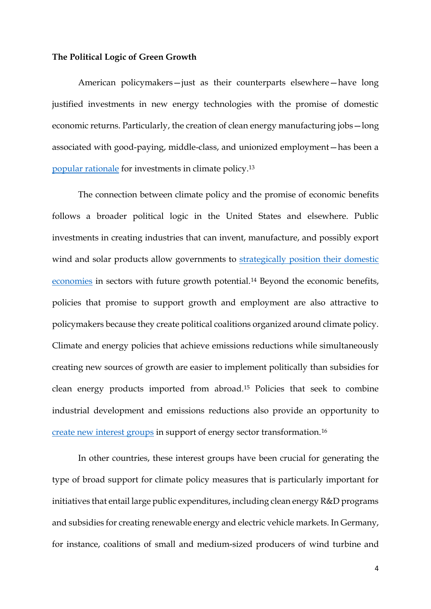#### **The Political Logic of Green Growth**

American policymakers—just as their counterparts elsewhere—have long justified investments in new energy technologies with the promise of domestic economic returns. Particularly, the creation of clean energy manufacturing jobs—long associated with good-paying, middle-class, and unionized employment—has been a [popular rationale](https://www.post-gazette.com/news/politics-nation/2021/04/29/Joe-Biden-jobs-wind-propellers-unions-climate-policy-Trump/stories/202104290128) for investments in climate policy.<sup>13</sup>

The connection between climate policy and the promise of economic benefits follows a broader political logic in the United States and elsewhere. Public investments in creating industries that can invent, manufacture, and possibly export wind and solar products allow governments to strategically position their domestic [economies](https://www2.itif.org/2020-energizing-america.pdf) in sectors with future growth potential.<sup>14</sup> Beyond the economic benefits, policies that promise to support growth and employment are also attractive to policymakers because they create political coalitions organized around climate policy. Climate and energy policies that achieve emissions reductions while simultaneously creating new sources of growth are easier to implement politically than subsidies for clean energy products imported from abroad.<sup>15</sup> Policies that seek to combine industrial development and emissions reductions also provide an opportunity to [create new interest groups](https://www.cambridge.org/core/journals/business-and-politics/article/political-logics-of-clean-energy-transitions/3EBB1887089929B48CD623309C6751A9) in support of energy sector transformation.<sup>16</sup>

In other countries, these interest groups have been crucial for generating the type of broad support for climate policy measures that is particularly important for initiatives that entail large public expenditures, including clean energy R&D programs and subsidies for creating renewable energy and electric vehicle markets. In Germany, for instance, coalitions of small and medium-sized producers of wind turbine and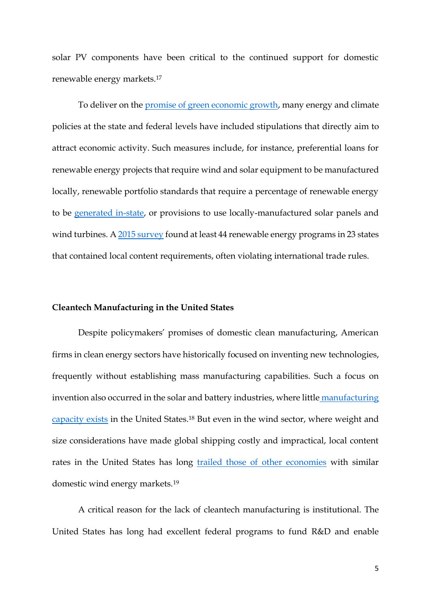solar PV components have been critical to the continued support for domestic renewable energy markets.<sup>17</sup>

To deliver on the [promise of green economic growth,](https://idp.nature.com/authorize/casa?redirect_uri=https://www.nature.com/articles/nenergy2017107&casa_token=RwdDynhn7V4AAAAA:D50lLe3FI9G1Nbw6wHOmSmECOiFYSu7VYiyceoJWvDkW1imi2rTtm6HKsAj8tvP8vFeAgwLBStQNN03nzQ) many energy and climate policies at the state and federal levels have included stipulations that directly aim to attract economic activity. Such measures include, for instance, preferential loans for renewable energy projects that require wind and solar equipment to be manufactured locally, renewable portfolio standards that require a percentage of renewable energy to be [generated in-state,](https://www.sciencedirect.com/science/article/pii/S1040619011000996?casa_token=DLJYNz04Zk8AAAAA:DYSfQcDujXtOzjRhxrFr7MmOxvf0Qq8bZV5StRa1d02ZxPHtt8AiGG9P0TlDcOE32PO4m7Y2Qw) or provisions to use locally-manufactured solar panels and wind turbines. [A 2015 survey](https://heinonline.org/hol-cgi-bin/get_pdf.cgi?handle=hein.journals/bulr95§ion=74&casa_token=YJ42axA-ntUAAAAA:ACrV6dLvE-9KtjLQu0eZTw3itR7YkAkHqGOIT7lg1hWSoanpNr7eBa-2zWwW2HgvkaXWzjwBNg) found at least 44 renewable energy programs in 23 states that contained local content requirements, often violating international trade rules.

### **Cleantech Manufacturing in the United States**

Despite policymakers' promises of domestic clean manufacturing, American firms in clean energy sectors have historically focused on inventing new technologies, frequently without establishing mass manufacturing capabilities. Such a focus on invention also occurred in the solar and battery industries, where little [manufacturing](https://hbr.org/2009/07/restoring-american-competitiveness)  [capacity exists](https://hbr.org/2009/07/restoring-american-competitiveness) in the United States.<sup>18</sup> But even in the wind sector, where weight and size considerations have made global shipping costly and impractical, local content rates in the United States has long [trailed those of other economies](https://www.energy.gov/sites/prod/files/2019/08/f65/2018%20Wind%20Technologies%20Market%20Report%20FINAL.pdf) with similar domestic wind energy markets.<sup>19</sup>

A critical reason for the lack of cleantech manufacturing is institutional. The United States has long had excellent federal programs to fund R&D and enable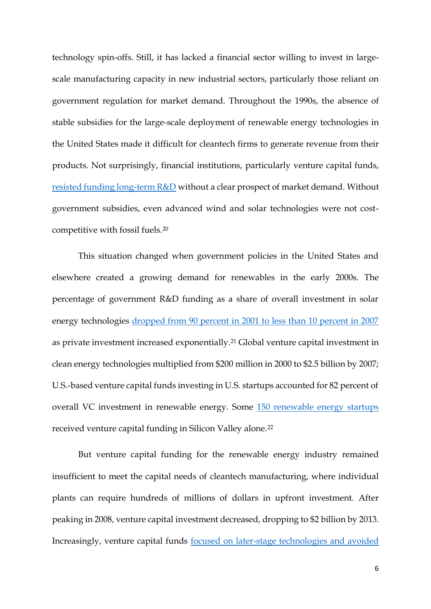technology spin-offs. Still, it has lacked a financial sector willing to invest in largescale manufacturing capacity in new industrial sectors, particularly those reliant on government regulation for market demand. Throughout the 1990s, the absence of stable subsidies for the large-scale deployment of renewable energy technologies in the United States made it difficult for cleantech firms to generate revenue from their products. Not surprisingly, financial institutions, particularly venture capital funds, [resisted funding long-term R&D](https://onlinelibrary.wiley.com/doi/abs/10.1002/bse.413) without a clear prospect of market demand. Without government subsidies, even advanced wind and solar technologies were not costcompetitive with fossil fuels.<sup>20</sup>

This situation changed when government policies in the United States and elsewhere created a growing demand for renewables in the early 2000s. The percentage of government R&D funding as a share of overall investment in solar energy technologies [dropped from 90 percent in 2001 to less than 10 percent in 2007](https://www.osti.gov/biblio/944454) as private investment increased exponentially.<sup>21</sup> Global venture capital investment in clean energy technologies multiplied from \$200 million in 2000 to \$2.5 billion by 2007; U.S.-based venture capital funds investing in U.S. startups accounted for 82 percent of overall VC investment in renewable energy. Some [150 renewable energy startups](https://energy.mit.edu/wp-content/uploads/2016/07/MITEI-WP-2016-06.pdf) received venture capital funding in Silicon Valley alone.<sup>22</sup>

But venture capital funding for the renewable energy industry remained insufficient to meet the capital needs of cleantech manufacturing, where individual plants can require hundreds of millions of dollars in upfront investment. After peaking in 2008, venture capital investment decreased, dropping to \$2 billion by 2013. Increasingly, venture capital funds [focused on later-stage technologies and avoided](https://energy.mit.edu/wp-content/uploads/2016/07/MITEI-WP-2016-06.pdf)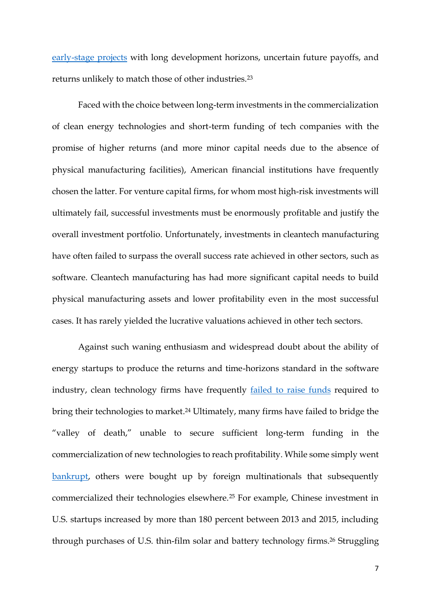[early-stage projects](https://energy.mit.edu/wp-content/uploads/2016/07/MITEI-WP-2016-06.pdf) with long development horizons, uncertain future payoffs, and returns unlikely to match those of other industries.<sup>23</sup>

Faced with the choice between long-term investments in the commercialization of clean energy technologies and short-term funding of tech companies with the promise of higher returns (and more minor capital needs due to the absence of physical manufacturing facilities), American financial institutions have frequently chosen the latter. For venture capital firms, for whom most high-risk investments will ultimately fail, successful investments must be enormously profitable and justify the overall investment portfolio. Unfortunately, investments in cleantech manufacturing have often failed to surpass the overall success rate achieved in other sectors, such as software. Cleantech manufacturing has had more significant capital needs to build physical manufacturing assets and lower profitability even in the most successful cases. It has rarely yielded the lucrative valuations achieved in other tech sectors.

Against such waning enthusiasm and widespread doubt about the ability of energy startups to produce the returns and time-horizons standard in the software industry, clean technology firms have frequently **failed** to raise funds required to bring their technologies to market. <sup>24</sup> Ultimately, many firms have failed to bridge the "valley of death," unable to secure sufficient long-term funding in the commercialization of new technologies to reach profitability. While some simply went [bankrupt,](https://www.energy.gov/key-facts-solyndra-solar) others were bought up by foreign multinationals that subsequently commercialized their technologies elsewhere.<sup>25</sup> For example, Chinese investment in U.S. startups increased by more than 180 percent between 2013 and 2015, including through purchases of U.S. thin-film solar and battery technology firms.<sup>26</sup> Struggling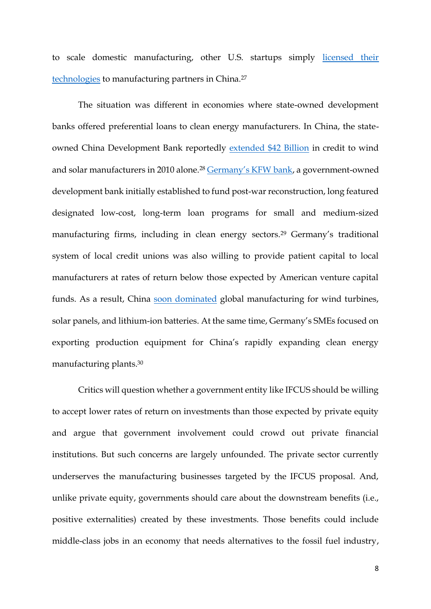to scale domestic manufacturing, other U.S. startups simply [licensed their](https://www.theatlantic.com/science/archive/2021/08/america-into-the-worlds-factory-again-industrial-finance-corporation/619793/)  [technologies](https://www.theatlantic.com/science/archive/2021/08/america-into-the-worlds-factory-again-industrial-finance-corporation/619793/) to manufacturing partners in China.<sup>27</sup>

The situation was different in economies where state-owned development banks offered preferential loans to clean energy manufacturers. In China, the stateowned China Development Bank reportedly [extended \\$42 Billion](https://digitalcommons.wcl.american.edu/cgi/viewcontent.cgi?article=1461&context=sdlp) in credit to wind and solar manufacturers in 2010 alone.<sup>28</sup> [Germany's KFW](https://www.kfw.de/About-KfW/) bank, a government-owned development bank initially established to fund post-war reconstruction, long featured designated low-cost, long-term loan programs for small and medium-sized manufacturing firms, including in clean energy sectors.<sup>29</sup> Germany's traditional system of local credit unions was also willing to provide patient capital to local manufacturers at rates of return below those expected by American venture capital funds. As a result, China [soon dominated](https://www.nature.com/articles/d41586-020-02499-8) global manufacturing for wind turbines, solar panels, and lithium-ion batteries. At the same time, Germany's SMEs focused on exporting production equipment for China's rapidly expanding clean energy manufacturing plants.<sup>30</sup>

Critics will question whether a government entity like IFCUS should be willing to accept lower rates of return on investments than those expected by private equity and argue that government involvement could crowd out private financial institutions. But such concerns are largely unfounded. The private sector currently underserves the manufacturing businesses targeted by the IFCUS proposal. And, unlike private equity, governments should care about the downstream benefits (i.e., positive externalities) created by these investments. Those benefits could include middle-class jobs in an economy that needs alternatives to the fossil fuel industry,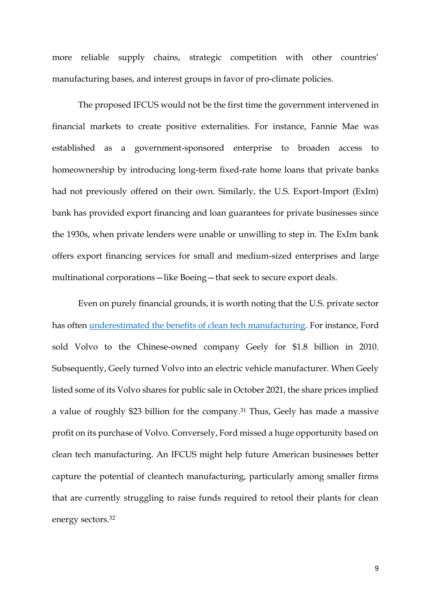more reliable supply chains, strategic competition with other countries' manufacturing bases, and interest groups in favor of pro-climate policies.

The proposed IFCUS would not be the first time the government intervened in financial markets to create positive externalities. For instance, Fannie Mae was established as a government-sponsored enterprise to broaden access to homeownership by introducing long-term fixed-rate home loans that private banks had not previously offered on their own. Similarly, the U.S. Export-Import (ExIm) bank has provided export financing and loan guarantees for private businesses since the 1930s, when private lenders were unable or unwilling to step in. The ExIm bank offers export financing services for small and medium-sized enterprises and large multinational corporations—like Boeing—that seek to secure export deals.

Even on purely financial grounds, it is worth noting that the U.S. private sector has often [underestimated the benefits of clean tech manufacturing.](https://www.ft.com/content/06601f78-297a-496b-9b06-bfa06546a83d) For instance, Ford sold Volvo to the Chinese-owned company Geely for \$1.8 billion in 2010. Subsequently, Geely turned Volvo into an electric vehicle manufacturer. When Geely listed some of its Volvo shares for public sale in October 2021, the share prices implied a value of roughly \$23 billion for the company. <sup>31</sup> Thus, Geely has made a massive profit on its purchase of Volvo. Conversely, Ford missed a huge opportunity based on clean tech manufacturing. An IFCUS might help future American businesses better capture the potential of cleantech manufacturing, particularly among smaller firms that are currently struggling to raise funds required to retool their plants for clean energy sectors.32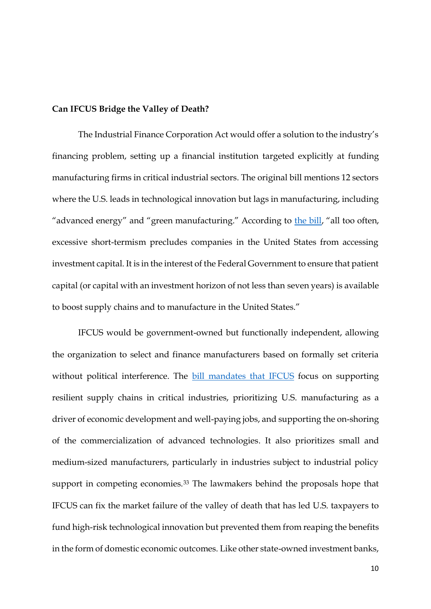# **Can IFCUS Bridge the Valley of Death?**

The Industrial Finance Corporation Act would offer a solution to the industry's financing problem, setting up a financial institution targeted explicitly at funding manufacturing firms in critical industrial sectors. The original bill mentions 12 sectors where the U.S. leads in technological innovation but lags in manufacturing, including "advanced energy" and "green manufacturing." According to [the bill](https://www.coons.senate.gov/imo/media/doc/text_ifcus_117.pdf), "all too often, excessive short-termism precludes companies in the United States from accessing investment capital. It is in the interest of the Federal Government to ensure that patient capital (or capital with an investment horizon of not less than seven years) is available to boost supply chains and to manufacture in the United States."

IFCUS would be government-owned but functionally independent, allowing the organization to select and finance manufacturers based on formally set criteria without political interference. The **[bill mandates that IFCUS](https://www.coons.senate.gov/imo/media/doc/SUMMARY%20IFCUS%20117%20v.2.pdf)** focus on supporting resilient supply chains in critical industries, prioritizing U.S. manufacturing as a driver of economic development and well-paying jobs, and supporting the on-shoring of the commercialization of advanced technologies. It also prioritizes small and medium-sized manufacturers, particularly in industries subject to industrial policy support in competing economies.<sup>33</sup> The lawmakers behind the proposals hope that IFCUS can fix the market failure of the valley of death that has led U.S. taxpayers to fund high-risk technological innovation but prevented them from reaping the benefits in the form of domestic economic outcomes. Like other state-owned investment banks,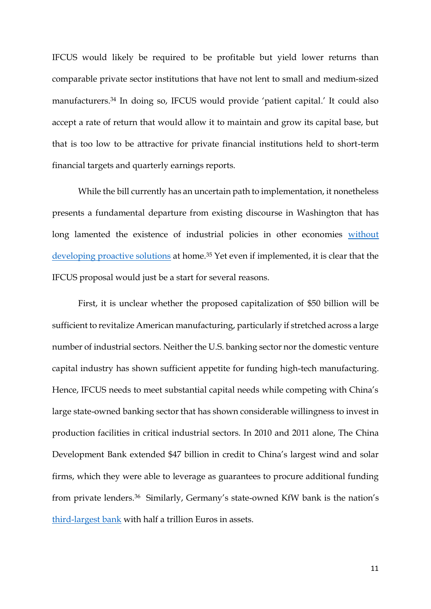IFCUS would likely be required to be profitable but yield lower returns than comparable private sector institutions that have not lent to small and medium-sized manufacturers.<sup>34</sup> In doing so, IFCUS would provide 'patient capital.' It could also accept a rate of return that would allow it to maintain and grow its capital base, but that is too low to be attractive for private financial institutions held to short-term financial targets and quarterly earnings reports.

While the bill currently has an uncertain path to implementation, it nonetheless presents a fundamental departure from existing discourse in Washington that has long lamented the existence of industrial policies in other economies without [developing proactive solutions](https://www.tandfonline.com/doi/full/10.1080/02692171.2011.640312?casa_token=K6PIINqmk1YAAAAA%3A0LKKwjmRPZfPV2ifcSZZvTL3kYqxhvGjajIBavhZKY1NcjDa3YaF1d_6kelMdG0nEAB-flwdu0OJXg) at home.<sup>35</sup> Yet even if implemented, it is clear that the IFCUS proposal would just be a start for several reasons.

First, it is unclear whether the proposed capitalization of \$50 billion will be sufficient to revitalize American manufacturing, particularly if stretched across a large number of industrial sectors. Neither the U.S. banking sector nor the domestic venture capital industry has shown sufficient appetite for funding high-tech manufacturing. Hence, IFCUS needs to meet substantial capital needs while competing with China's large state-owned banking sector that has shown considerable willingness to invest in production facilities in critical industrial sectors. In 2010 and 2011 alone, The China Development Bank extended \$47 billion in credit to China's largest wind and solar firms, which they were able to leverage as guarantees to procure additional funding from private lenders.36 Similarly, Germany's state-owned KfW bank is the nation's [third-largest](https://www.euromoney.com/article/b1h4gwml13kpg6/kfw-the-quiet-giant-of-german-finance) bank with half a trillion Euros in assets.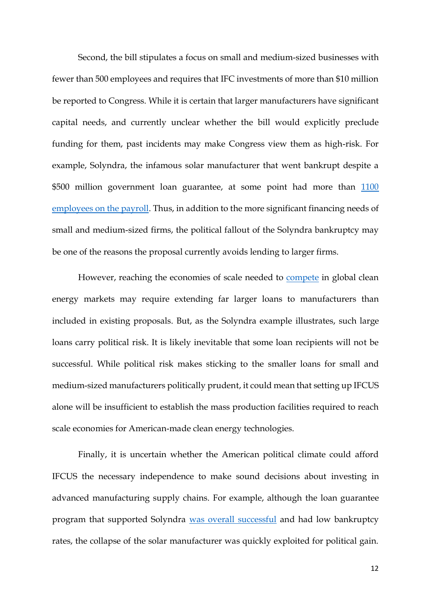Second, the bill stipulates a focus on small and medium-sized businesses with fewer than 500 employees and requires that IFC investments of more than \$10 million be reported to Congress. While it is certain that larger manufacturers have significant capital needs, and currently unclear whether the bill would explicitly preclude funding for them, past incidents may make Congress view them as high-risk. For example, Solyndra, the infamous solar manufacturer that went bankrupt despite a \$500 million government loan guarantee, at some point had more than 1100 [employees on the payroll.](https://www.greentechmedia.com/articles/read/solyndra) Thus, in addition to the more significant financing needs of small and medium-sized firms, the political fallout of the Solyndra bankruptcy may be one of the reasons the proposal currently avoids lending to larger firms.

However, reaching the economies of scale needed to **compete** in global clean energy markets may require extending far larger loans to manufacturers than included in existing proposals. But, as the Solyndra example illustrates, such large loans carry political risk. It is likely inevitable that some loan recipients will not be successful. While political risk makes sticking to the smaller loans for small and medium-sized manufacturers politically prudent, it could mean that setting up IFCUS alone will be insufficient to establish the mass production facilities required to reach scale economies for American-made clean energy technologies.

Finally, it is uncertain whether the American political climate could afford IFCUS the necessary independence to make sound decisions about investing in advanced manufacturing supply chains. For example, although the loan guarantee program that supported Solyndra [was overall successful](https://www.reuters.com/article/us-doe-loans/exclusive-controversial-u-s-energy-loan-program-has-wiped-out-losses-idUSKCN0IX0A120141113) and had low bankruptcy rates, the collapse of the solar manufacturer was quickly exploited for political gain.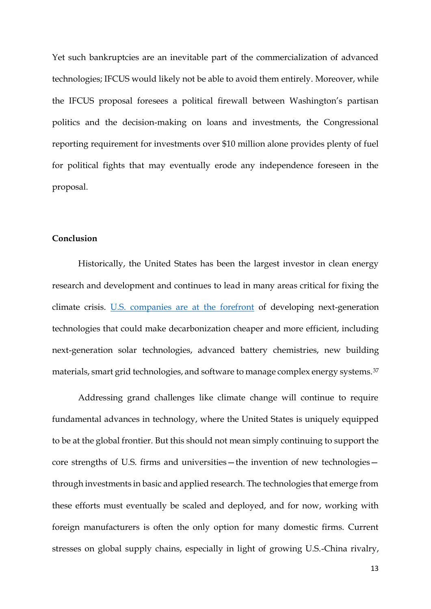Yet such bankruptcies are an inevitable part of the commercialization of advanced technologies; IFCUS would likely not be able to avoid them entirely. Moreover, while the IFCUS proposal foresees a political firewall between Washington's partisan politics and the decision-making on loans and investments, the Congressional reporting requirement for investments over \$10 million alone provides plenty of fuel for political fights that may eventually erode any independence foreseen in the proposal.

#### **Conclusion**

Historically, the United States has been the largest investor in clean energy research and development and continues to lead in many areas critical for fixing the climate crisis. [U.S. companies are at the forefront](https://www.energypolicy.columbia.edu/sites/default/files/file-uploads/EnergizingAmerica_FINAL_DIGITAL.pdf) of developing next-generation technologies that could make decarbonization cheaper and more efficient, including next-generation solar technologies, advanced battery chemistries, new building materials, smart grid technologies, and software to manage complex energy systems.<sup>37</sup>

Addressing grand challenges like climate change will continue to require fundamental advances in technology, where the United States is uniquely equipped to be at the global frontier. But this should not mean simply continuing to support the core strengths of U.S. firms and universities—the invention of new technologies through investments in basic and applied research. The technologies that emerge from these efforts must eventually be scaled and deployed, and for now, working with foreign manufacturers is often the only option for many domestic firms. Current stresses on global supply chains, especially in light of growing U.S.-China rivalry,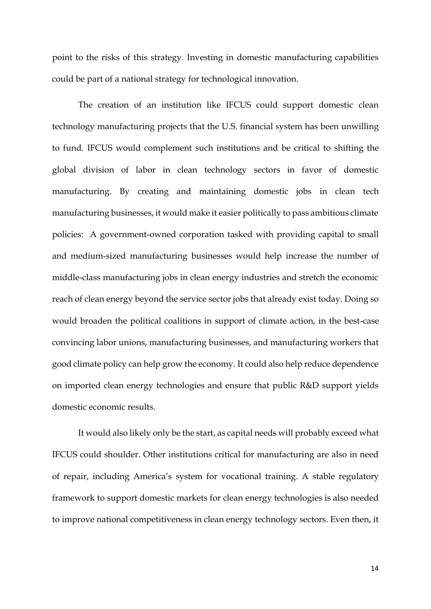point to the risks of this strategy. Investing in domestic manufacturing capabilities could be part of a national strategy for technological innovation.

The creation of an institution like IFCUS could support domestic clean technology manufacturing projects that the U.S. financial system has been unwilling to fund. IFCUS would complement such institutions and be critical to shifting the global division of labor in clean technology sectors in favor of domestic manufacturing. By creating and maintaining domestic jobs in clean tech manufacturing businesses, it would make it easier politically to pass ambitious climate policies: A government-owned corporation tasked with providing capital to small and medium-sized manufacturing businesses would help increase the number of middle-class manufacturing jobs in clean energy industries and stretch the economic reach of clean energy beyond the service sector jobs that already exist today. Doing so would broaden the political coalitions in support of climate action, in the best-case convincing labor unions, manufacturing businesses, and manufacturing workers that good climate policy can help grow the economy. It could also help reduce dependence on imported clean energy technologies and ensure that public R&D support yields domestic economic results.

It would also likely only be the start, as capital needs will probably exceed what IFCUS could shoulder. Other institutions critical for manufacturing are also in need of repair, including America's system for vocational training. A stable regulatory framework to support domestic markets for clean energy technologies is also needed to improve national competitiveness in clean energy technology sectors. Even then, it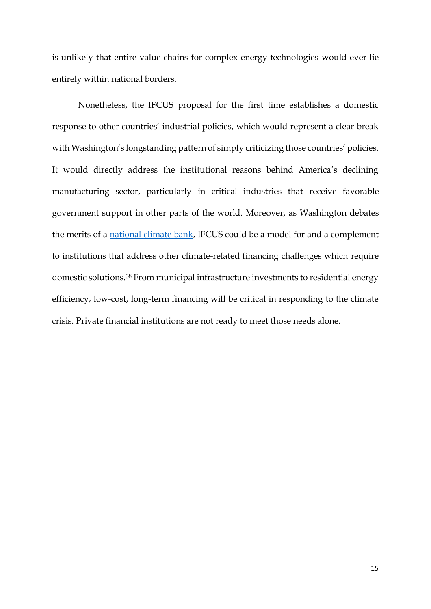is unlikely that entire value chains for complex energy technologies would ever lie entirely within national borders.

Nonetheless, the IFCUS proposal for the first time establishes a domestic response to other countries' industrial policies, which would represent a clear break with Washington's longstanding pattern of simply criticizing those countries' policies. It would directly address the institutional reasons behind America's declining manufacturing sector, particularly in critical industries that receive favorable government support in other parts of the world. Moreover, as Washington debates the merits of a [national climate bank,](https://www.c2es.org/wp-content/uploads/2021/07/national-climate-bank-proposals-in-the-117th-congress.pdf) IFCUS could be a model for and a complement to institutions that address other climate-related financing challenges which require domestic solutions.<sup>38</sup> From municipal infrastructure investments to residential energy efficiency, low-cost, long-term financing will be critical in responding to the climate crisis. Private financial institutions are not ready to meet those needs alone.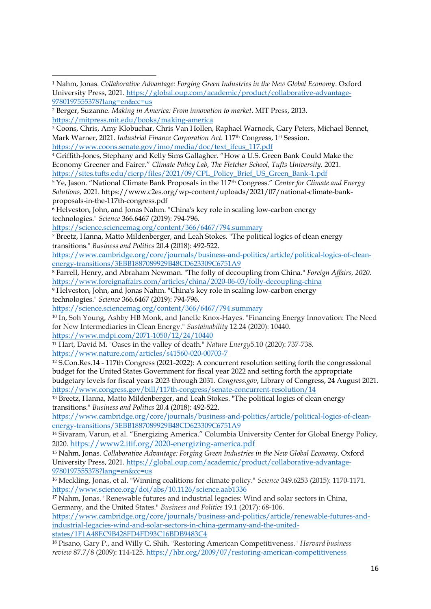<sup>6</sup> Helveston, John, and Jonas Nahm. "China's key role in scaling low-carbon energy technologies." *Science* 366.6467 (2019): 794-796.

<https://science.sciencemag.org/content/366/6467/794.summary>

<sup>7</sup> Breetz, Hanna, Matto Mildenberger, and Leah Stokes. "The political logics of clean energy transitions." *Business and Politics* 20.4 (2018): 492-522.

[https://www.cambridge.org/core/journals/business-and-politics/article/political-logics-of-clean](https://www.cambridge.org/core/journals/business-and-politics/article/political-logics-of-clean-energy-transitions/3EBB1887089929B48CD623309C6751A9)[energy-transitions/3EBB1887089929B48CD623309C6751A9](https://www.cambridge.org/core/journals/business-and-politics/article/political-logics-of-clean-energy-transitions/3EBB1887089929B48CD623309C6751A9)

<sup>8</sup> Farrell, Henry, and Abraham Newman. "The folly of decoupling from China." *Foreign Affairs, 2020.*  <https://www.foreignaffairs.com/articles/china/2020-06-03/folly-decoupling-china>

<sup>9</sup> Helveston, John, and Jonas Nahm. "China's key role in scaling low-carbon energy technologies." *Science* 366.6467 (2019): 794-796.

<https://science.sciencemag.org/content/366/6467/794.summary>

<sup>10</sup> In, Soh Young, Ashby HB Monk, and Janelle Knox-Hayes. "Financing Energy Innovation: The Need for New Intermediaries in Clean Energy." *Sustainability* 12.24 (2020): 10440.

<https://www.mdpi.com/2071-1050/12/24/10440> <sup>11</sup> Hart, David M. "Oases in the valley of death." *Nature Energy*5.10 (2020): 737-738.

<https://www.nature.com/articles/s41560-020-00703-7>

<sup>12</sup> S.Con.Res.14 - 117th Congress (2021-2022): A concurrent resolution setting forth the congressional budget for the United States Government for fiscal year 2022 and setting forth the appropriate budgetary levels for fiscal years 2023 through 2031. *Congress.gov*, Library of Congress, 24 August 2021. <https://www.congress.gov/bill/117th-congress/senate-concurrent-resolution/14>

<sup>13</sup> Breetz, Hanna, Matto Mildenberger, and Leah Stokes. "The political logics of clean energy transitions." *Business and Politics* 20.4 (2018): 492-522.

[https://www.cambridge.org/core/journals/business-and-politics/article/political-logics-of-clean](https://www.cambridge.org/core/journals/business-and-politics/article/political-logics-of-clean-energy-transitions/3EBB1887089929B48CD623309C6751A9)[energy-transitions/3EBB1887089929B48CD623309C6751A9](https://www.cambridge.org/core/journals/business-and-politics/article/political-logics-of-clean-energy-transitions/3EBB1887089929B48CD623309C6751A9)

<sup>14</sup> Sivaram, Varun, et al. "Energizing America." Columbia University Center for Global Energy Policy, 2020. <https://www2.itif.org/2020-energizing-america.pdf>

<sup>15</sup> Nahm, Jonas. *Collaborative Advantage: Forging Green Industries in the New Global Economy*. Oxford University Press, 2021[. https://global.oup.com/academic/product/collaborative-advantage-](https://global.oup.com/academic/product/collaborative-advantage-9780197555378?lang=en&cc=us)[9780197555378?lang=en&cc=us](https://global.oup.com/academic/product/collaborative-advantage-9780197555378?lang=en&cc=us)

<sup>16</sup> Meckling, Jonas, et al. "Winning coalitions for climate policy." *Science* 349.6253 (2015): 1170-1171. <https://www.science.org/doi/abs/10.1126/science.aab1336>

<sup>17</sup> Nahm, Jonas. "Renewable futures and industrial legacies: Wind and solar sectors in China, Germany, and the United States." *Business and Politics* 19.1 (2017): 68-106.

[https://www.cambridge.org/core/journals/business-and-politics/article/renewable-futures-and](https://www.cambridge.org/core/journals/business-and-politics/article/renewable-futures-and-industrial-legacies-wind-and-solar-sectors-in-china-germany-and-the-united-states/1F1A48EC9B428FD4FD93C16BDB9483C4)[industrial-legacies-wind-and-solar-sectors-in-china-germany-and-the-united](https://www.cambridge.org/core/journals/business-and-politics/article/renewable-futures-and-industrial-legacies-wind-and-solar-sectors-in-china-germany-and-the-united-states/1F1A48EC9B428FD4FD93C16BDB9483C4)[states/1F1A48EC9B428FD4FD93C16BDB9483C4](https://www.cambridge.org/core/journals/business-and-politics/article/renewable-futures-and-industrial-legacies-wind-and-solar-sectors-in-china-germany-and-the-united-states/1F1A48EC9B428FD4FD93C16BDB9483C4)

<sup>18</sup> Pisano, Gary P., and Willy C. Shih. "Restoring American Competitiveness." *Harvard business review* 87.7/8 (2009): 114-125.<https://hbr.org/2009/07/restoring-american-competitiveness>

<sup>1</sup> Nahm, Jonas. *Collaborative Advantage: Forging Green Industries in the New Global Economy*. Oxford University Press, 2021[. https://global.oup.com/academic/product/collaborative-advantage-](https://global.oup.com/academic/product/collaborative-advantage-9780197555378?lang=en&cc=us)[9780197555378?lang=en&cc=us](https://global.oup.com/academic/product/collaborative-advantage-9780197555378?lang=en&cc=us)

<sup>2</sup> Berger, Suzanne. *Making in America: From innovation to market*. MIT Press, 2013. <https://mitpress.mit.edu/books/making-america>

<sup>&</sup>lt;sup>3</sup> Coons, Chris, Amy Klobuchar, Chris Van Hollen, Raphael Warnock, Gary Peters, Michael Bennet, Mark Warner, 2021. *Industrial Finance Corporation Act.* 117th Congress, 1st Session. [https://www.coons.senate.gov/imo/media/doc/text\\_ifcus\\_117.pdf](https://www.coons.senate.gov/imo/media/doc/text_ifcus_117.pdf)

<sup>4</sup> Griffith-Jones, Stephany and Kelly Sims Gallagher. "How a U.S. Green Bank Could Make the Economy Greener and Fairer." *Climate Policy Lab, The Fletcher School, Tufts University.* 2021. [https://sites.tufts.edu/cierp/files/2021/09/CPL\\_Policy\\_Brief\\_US\\_Green\\_Bank-1.pdf](https://sites.tufts.edu/cierp/files/2021/09/CPL_Policy_Brief_US_Green_Bank-1.pdf)

<sup>5</sup> Ye, Jason. "National Climate Bank Proposals in the 117th Congress." *Center for Climate and Energy Solutions,* 2021. https://www.c2es.org/wp-content/uploads/2021/07/national-climate-bankproposals-in-the-117th-congress.pdf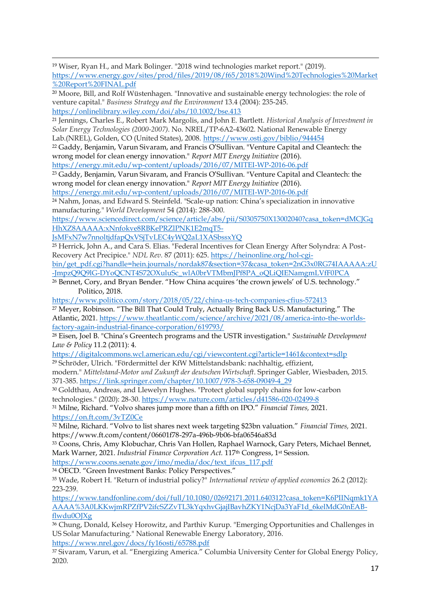<sup>19</sup> Wiser, Ryan H., and Mark Bolinger. "2018 wind technologies market report." (2019). [https://www.energy.gov/sites/prod/files/2019/08/f65/2018%20Wind%20Technologies%20Market](https://www.energy.gov/sites/prod/files/2019/08/f65/2018%20Wind%20Technologies%20Market%20Report%20FINAL.pdf) [%20Report%20FINAL.pdf](https://www.energy.gov/sites/prod/files/2019/08/f65/2018%20Wind%20Technologies%20Market%20Report%20FINAL.pdf)

<sup>20</sup> Moore, Bill, and Rolf Wüstenhagen. "Innovative and sustainable energy technologies: the role of venture capital." *Business Strategy and the Environment* 13.4 (2004): 235-245. <https://onlinelibrary.wiley.com/doi/abs/10.1002/bse.413>

<sup>21</sup> Jennings, Charles E., Robert Mark Margolis, and John E. Bartlett. *Historical Analysis of Investment in Solar Energy Technologies (2000-2007)*. No. NREL/TP-6A2-43602. National Renewable Energy Lab.(NREL), Golden, CO (United States), 2008.<https://www.osti.gov/biblio/944454>

<sup>22</sup> Gaddy, Benjamin, Varun Sivaram, and Francis O'Sullivan. "Venture Capital and Cleantech: the wrong model for clean energy innovation." *Report MIT Energy Initiative* (2016).

https://energy.mit.edu/wp-content/uploads/2016/07/MITEI-WP-2016-06.pdf

<sup>23</sup> Gaddy, Benjamin, Varun Sivaram, and Francis O'Sullivan. "Venture Capital and Cleantech: the wrong model for clean energy innovation." *Report MIT Energy Initiative* (2016). <https://energy.mit.edu/wp-content/uploads/2016/07/MITEI-WP-2016-06.pdf>

<sup>24</sup> Nahm, Jonas, and Edward S. Steinfeld. "Scale-up nation: China's specialization in innovative manufacturing." *World Development* 54 (2014): 288-300.

[https://www.sciencedirect.com/science/article/abs/pii/S0305750X13002040?casa\\_token=dMCJGq](https://www.sciencedirect.com/science/article/abs/pii/S0305750X13002040?casa_token=dMCJGqHhXZ8AAAAA:xNnfokve8RBKePRZlPNK1E2mqT5-JsMFxN7w7nnoltjdfapQxVSjTvLEC4yWQ2aL1XASbssxYQ) [HhXZ8AAAAA:xNnfokve8RBKePRZlPNK1E2mqT5-](https://www.sciencedirect.com/science/article/abs/pii/S0305750X13002040?casa_token=dMCJGqHhXZ8AAAAA:xNnfokve8RBKePRZlPNK1E2mqT5-JsMFxN7w7nnoltjdfapQxVSjTvLEC4yWQ2aL1XASbssxYQ)

[JsMFxN7w7nnoltjdfapQxVSjTvLEC4yWQ2aL1XASbssxYQ](https://www.sciencedirect.com/science/article/abs/pii/S0305750X13002040?casa_token=dMCJGqHhXZ8AAAAA:xNnfokve8RBKePRZlPNK1E2mqT5-JsMFxN7w7nnoltjdfapQxVSjTvLEC4yWQ2aL1XASbssxYQ)

<sup>25</sup> Herrick, John A., and Cara S. Elias. "Federal Incentives for Clean Energy After Solyndra: A Post-Recovery Act Precipice." *NDL Rev.* 87 (2011): 625. [https://heinonline.org/hol-cgi-](https://heinonline.org/hol-cgi-bin/get_pdf.cgi?handle=hein.journals/nordak87§ion=37&casa_token=2nG3x0RG74IAAAAA:zU-JmpzQ9Q9lG-DYoQCNT4S72OXuluSc_wlA0brVTMbmJPf8PA_oQLiQIENamgmLVfF0PCA)

[bin/get\\_pdf.cgi?handle=hein.journals/nordak87&section=37&casa\\_token=2nG3x0RG74IAAAAA:zU](https://heinonline.org/hol-cgi-bin/get_pdf.cgi?handle=hein.journals/nordak87§ion=37&casa_token=2nG3x0RG74IAAAAA:zU-JmpzQ9Q9lG-DYoQCNT4S72OXuluSc_wlA0brVTMbmJPf8PA_oQLiQIENamgmLVfF0PCA) [-JmpzQ9Q9lG-DYoQCNT4S72OXuluSc\\_wlA0brVTMbmJPf8PA\\_oQLiQIENamgmLVfF0PCA](https://heinonline.org/hol-cgi-bin/get_pdf.cgi?handle=hein.journals/nordak87§ion=37&casa_token=2nG3x0RG74IAAAAA:zU-JmpzQ9Q9lG-DYoQCNT4S72OXuluSc_wlA0brVTMbmJPf8PA_oQLiQIENamgmLVfF0PCA)

<sup>26</sup> Bennet, Cory, and Bryan Bender. "How China acquires 'the crown jewels' of U.S. technology*.*" Politico, 2018.

<https://www.politico.com/story/2018/05/22/china-us-tech-companies-cfius-572413>

<sup>27</sup> Meyer, Robinson. "The Bill That Could Truly, Actually Bring Back U.S. Manufacturing." The Atlantic, 2021. [https://www.theatlantic.com/science/archive/2021/08/america-into-the-worlds](https://www.theatlantic.com/science/archive/2021/08/america-into-the-worlds-factory-again-industrial-finance-corporation/619793/)[factory-again-industrial-finance-corporation/619793/](https://www.theatlantic.com/science/archive/2021/08/america-into-the-worlds-factory-again-industrial-finance-corporation/619793/)

<sup>28</sup> Eisen, Joel B. "China's Greentech programs and the USTR investigation." *Sustainable Development Law & Policy* 11.2 (2011): 4.

<https://digitalcommons.wcl.american.edu/cgi/viewcontent.cgi?article=1461&context=sdlp> <sup>29</sup> Schröder, Ulrich. "Fördermittel der KfW Mittelstandsbank: nachhaltig, effizient,

modern." *Mittelstand-Motor und Zukunft der deutschen Wirtschaft*. Springer Gabler, Wiesbaden, 2015. 371-385. [https://link.springer.com/chapter/10.1007/978-3-658-09049-4\\_29](https://link.springer.com/chapter/10.1007/978-3-658-09049-4_29)

<sup>30</sup> Goldthau, Andreas, and Llewelyn Hughes. "Protect global supply chains for low-carbon technologies." (2020): 28-30.<https://www.nature.com/articles/d41586-020-02499-8>

<sup>31</sup> Milne, Richard. "Volvo shares jump more than a fifth on IPO." *Financial Times,* 2021. <https://on.ft.com/3vTZ0Ce>

<sup>32</sup> Milne, Richard. "Volvo to list shares next week targeting \$23bn valuation." *Financial Times,* 2021. https://www.ft.com/content/06601f78-297a-496b-9b06-bfa06546a83d

<sup>33</sup> Coons, Chris, Amy Klobuchar, Chris Van Hollen, Raphael Warnock, Gary Peters, Michael Bennet, Mark Warner, 2021. *Industrial Finance Corporation Act.* 117th Congress, 1st Session.

[https://www.coons.senate.gov/imo/media/doc/text\\_ifcus\\_117.pdf](https://www.coons.senate.gov/imo/media/doc/text_ifcus_117.pdf)

<sup>34</sup> OECD. "Green Investment Banks: Policy Perspectives."

<sup>35</sup> Wade, Robert H. "Return of industrial policy?" *International review of applied economics* 26.2 (2012): 223-239.

[https://www.tandfonline.com/doi/full/10.1080/02692171.2011.640312?casa\\_token=K6PIINqmk1YA](https://www.tandfonline.com/doi/full/10.1080/02692171.2011.640312?casa_token=K6PIINqmk1YAAAAA%3A0LKKwjmRPZfPV2ifcSZZvTL3kYqxhvGjajIBavhZKY1NcjDa3YaF1d_6kelMdG0nEAB-flwdu0OJXg) [AAAA%3A0LKKwjmRPZfPV2ifcSZZvTL3kYqxhvGjajIBavhZKY1NcjDa3YaF1d\\_6kelMdG0nEAB](https://www.tandfonline.com/doi/full/10.1080/02692171.2011.640312?casa_token=K6PIINqmk1YAAAAA%3A0LKKwjmRPZfPV2ifcSZZvTL3kYqxhvGjajIBavhZKY1NcjDa3YaF1d_6kelMdG0nEAB-flwdu0OJXg)[flwdu0OJXg](https://www.tandfonline.com/doi/full/10.1080/02692171.2011.640312?casa_token=K6PIINqmk1YAAAAA%3A0LKKwjmRPZfPV2ifcSZZvTL3kYqxhvGjajIBavhZKY1NcjDa3YaF1d_6kelMdG0nEAB-flwdu0OJXg)

<sup>36</sup> Chung, Donald, Kelsey Horowitz, and Parthiv Kurup. "Emerging Opportunities and Challenges in US Solar Manufacturing." National Renewable Energy Laboratory, 2016.

<https://www.nrel.gov/docs/fy16osti/65788.pdf>

<sup>37</sup> Sivaram, Varun, et al. "Energizing America." Columbia University Center for Global Energy Policy, 2020.